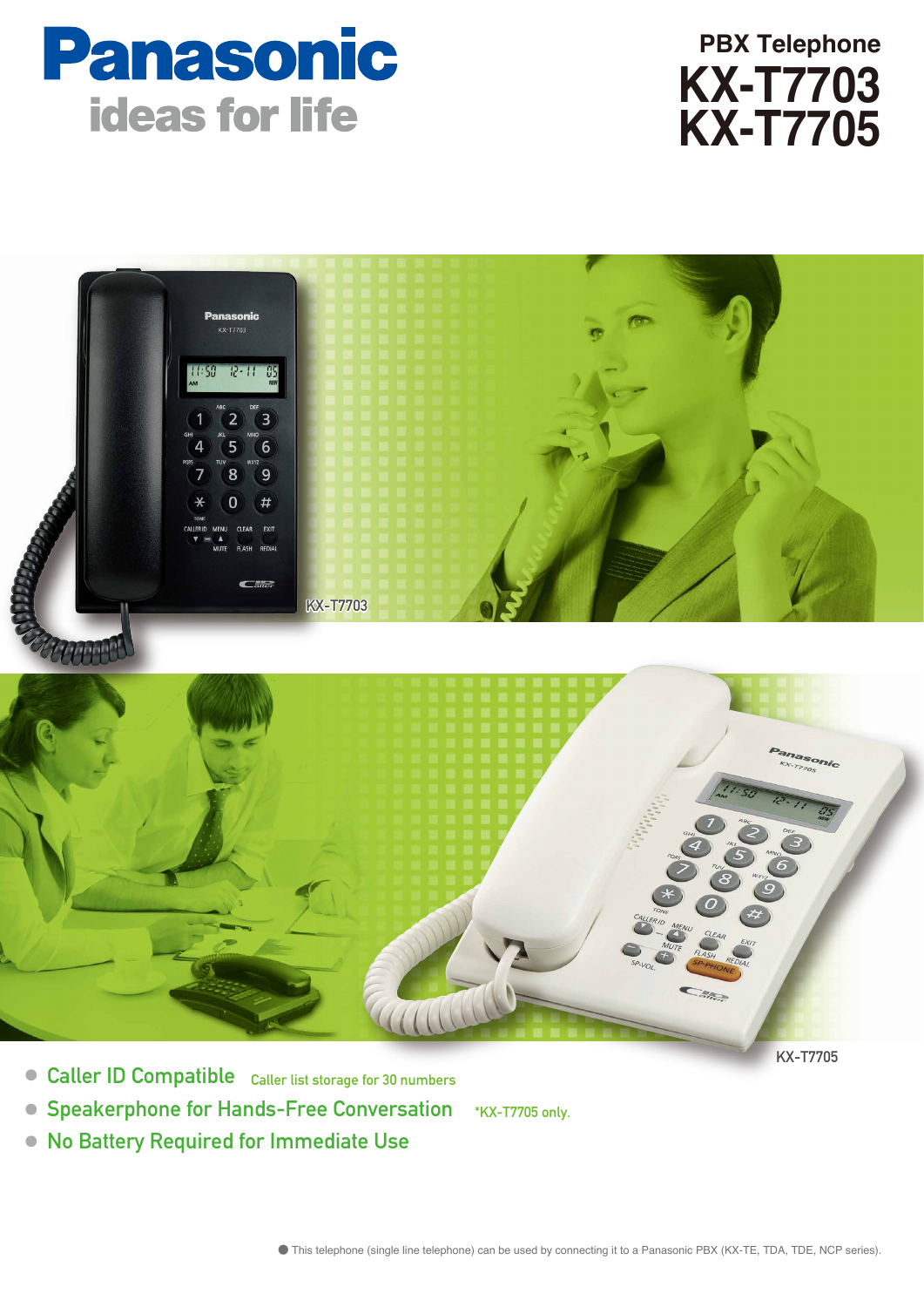





- Caller ID Compatible Caller list storage for 30 numbers
- **Speakerphone for Hands-Free Conversation** \*KX-T7705 only.
- No Battery Required for Immediate Use